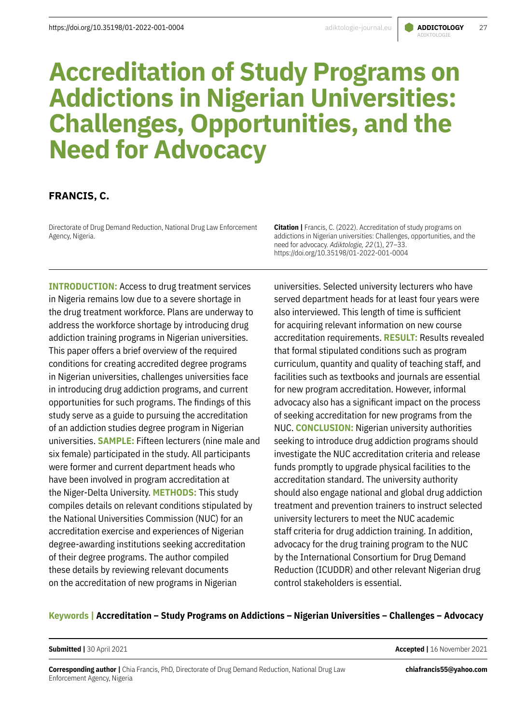#### [adiktologie-journal.eu](https://adiktologie-journal.eu/) **ADDICTOLOGY** 27 ADIKTOLOGIE

# **Accreditation of Study Programs on Addictions in Nigerian Universities: Challenges, Opportunities, and the Need for Advocacy**

# **FRANCIS, C.**

Directorate of Drug Demand Reduction, National Drug Law Enforcement Agency, Nigeria.

**INTRODUCTION:** Access to drug treatment services in Nigeria remains low due to a severe shortage in the drug treatment workforce. Plans are underway to address the workforce shortage by introducing drug addiction training programs in Nigerian universities. This paper offers a brief overview of the required conditions for creating accredited degree programs in Nigerian universities, challenges universities face in introducing drug addiction programs, and current opportunities for such programs. The findings of this study serve as a guide to pursuing the accreditation of an addiction studies degree program in Nigerian universities. **SAMPLE:** Fifteen lecturers (nine male and six female) participated in the study. All participants were former and current department heads who have been involved in program accreditation at the Niger-Delta University. **METHODS:** This study compiles details on relevant conditions stipulated by the National Universities Commission (NUC) for an accreditation exercise and experiences of Nigerian degree-awarding institutions seeking accreditation of their degree programs. The author compiled these details by reviewing relevant documents on the accreditation of new programs in Nigerian

**Citation |** Francis, C. (2022). Accreditation of study programs on addictions in Nigerian universities: Challenges, opportunities, and the need for advocacy. *Adiktologie, 22*(1), 27–33. https://doi.org/10.35198/01-2022-001-0004

universities. Selected university lecturers who have served department heads for at least four years were also interviewed. This length of time is sufficient for acquiring relevant information on new course accreditation requirements. **RESULT:** Results revealed that formal stipulated conditions such as program curriculum, quantity and quality of teaching staff, and facilities such as textbooks and journals are essential for new program accreditation. However, informal advocacy also has a significant impact on the process of seeking accreditation for new programs from the NUC. **CONCLUSION:** Nigerian university authorities seeking to introduce drug addiction programs should investigate the NUC accreditation criteria and release funds promptly to upgrade physical facilities to the accreditation standard. The university authority should also engage national and global drug addiction treatment and prevention trainers to instruct selected university lecturers to meet the NUC academic staff criteria for drug addiction training. In addition, advocacy for the drug training program to the NUC by the International Consortium for Drug Demand Reduction (ICUDDR) and other relevant Nigerian drug control stakeholders is essential.

#### **Keywords | Accreditation – Study Programs on Addictions – Nigerian Universities – Challenges – Advocacy**

**Submitted |** 30 April 2021 **Accepted |** 16 November 2021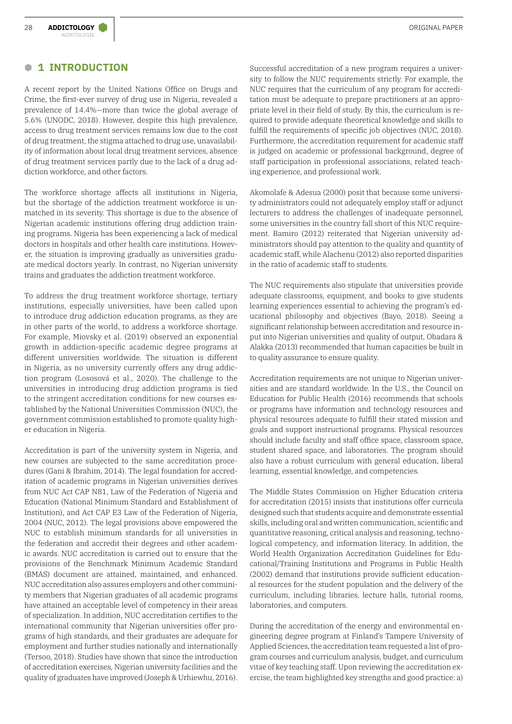#### **B 1 INTRODUCTION**

A recent report by the United Nations Office on Drugs and Crime, the first-ever survey of drug use in Nigeria, revealed a prevalence of 14.4%—more than twice the global average of 5.6% (UNODC, 2018). However, despite this high prevalence, access to drug treatment services remains low due to the cost of drug treatment, the stigma attached to drug use, unavailability of information about local drug treatment services, absence of drug treatment services partly due to the lack of a drug addiction workforce, and other factors.

The workforce shortage affects all institutions in Nigeria, but the shortage of the addiction treatment workforce is unmatched in its severity. This shortage is due to the absence of Nigerian academic institutions offering drug addiction training programs. Nigeria has been experiencing a lack of medical doctors in hospitals and other health care institutions. However, the situation is improving gradually as universities graduate medical doctors yearly. In contrast, no Nigerian university trains and graduates the addiction treatment workforce.

To address the drug treatment workforce shortage, tertiary institutions, especially universities, have been called upon to introduce drug addiction education programs, as they are in other parts of the world, to address a workforce shortage. For example, Miovsky et al. (2019) observed an exponential growth in addiction-specific academic degree programs at different universities worldwide. The situation is different in Nigeria, as no university currently offers any drug addiction program (Lososová et al., 2020). The challenge to the universities in introducing drug addiction programs is tied to the stringent accreditation conditions for new courses established by the National Universities Commission (NUC), the government commission established to promote quality higher education in Nigeria.

Accreditation is part of the university system in Nigeria, and new courses are subjected to the same accreditation procedures (Gani & Ibrahim, 2014). The legal foundation for accreditation of academic programs in Nigerian universities derives from NUC Act CAP N81, Law of the Federation of Nigeria and Education (National Minimum Standard and Establishment of Institution), and Act CAP E3 Law of the Federation of Nigeria, 2004 (NUC, 2012). The legal provisions above empowered the NUC to establish minimum standards for all universities in the federation and accredit their degrees and other academic awards. NUC accreditation is carried out to ensure that the provisions of the Benchmark Minimum Academic Standard (BMAS) document are attained, maintained, and enhanced. NUC accreditation also assures employers and other community members that Nigerian graduates of all academic programs have attained an acceptable level of competency in their areas of specialization. In addition, NUC accreditation certifies to the international community that Nigerian universities offer programs of high standards, and their graduates are adequate for employment and further studies nationally and internationally (Tersoo, 2018). Studies have shown that since the introduction of accreditation exercises, Nigerian university facilities and the quality of graduates have improved (Joseph & Urhiewhu, 2016).

Successful accreditation of a new program requires a university to follow the NUC requirements strictly. For example, the NUC requires that the curriculum of any program for accreditation must be adequate to prepare practitioners at an appropriate level in their field of study. By this, the curriculum is required to provide adequate theoretical knowledge and skills to fulfill the requirements of specific job objectives (NUC, 2018). Furthermore, the accreditation requirement for academic staff is judged on academic or professional background, degree of staff participation in professional associations, related teaching experience, and professional work.

Akomolafe & Adesua (2000) posit that because some university administrators could not adequately employ staff or adjunct lecturers to address the challenges of inadequate personnel, some universities in the country fall short of this NUC requirement. Bamiro (2012) reiterated that Nigerian university administrators should pay attention to the quality and quantity of academic staff, while Alachenu (2012) also reported disparities in the ratio of academic staff to students.

The NUC requirements also stipulate that universities provide adequate classrooms, equipment, and books to give students learning experiences essential to achieving the program's educational philosophy and objectives (Bayo, 2018). Seeing a significant relationship between accreditation and resource input into Nigerian universities and quality of output, Obadara & Alakka (2013) recommended that human capacities be built in to quality assurance to ensure quality.

Accreditation requirements are not unique to Nigerian universities and are standard worldwide. In the U.S., the Council on Education for Public Health (2016) recommends that schools or programs have information and technology resources and physical resources adequate to fulfill their stated mission and goals and support instructional programs. Physical resources should include faculty and staff office space, classroom space, student shared space, and laboratories. The program should also have a robust curriculum with general education, liberal learning, essential knowledge, and competencies.

The Middle States Commission on Higher Education criteria for accreditation (2015) insists that institutions offer curricula designed such that students acquire and demonstrate essential skills, including oral and written communication, scientific and quantitative reasoning, critical analysis and reasoning, technological competency, and information literacy. In addition, the World Health Organization Accreditation Guidelines for Educational/Training Institutions and Programs in Public Health (2002) demand that institutions provide sufficient educational resources for the student population and the delivery of the curriculum, including libraries, lecture halls, tutorial rooms, laboratories, and computers.

During the accreditation of the energy and environmental engineering degree program at Finland's Tampere University of Applied Sciences, the accreditation team requested a list of program courses and curriculum analysis, budget, and curriculum vitae of key teaching staff. Upon reviewing the accreditation exercise, the team highlighted key strengths and good practice: a)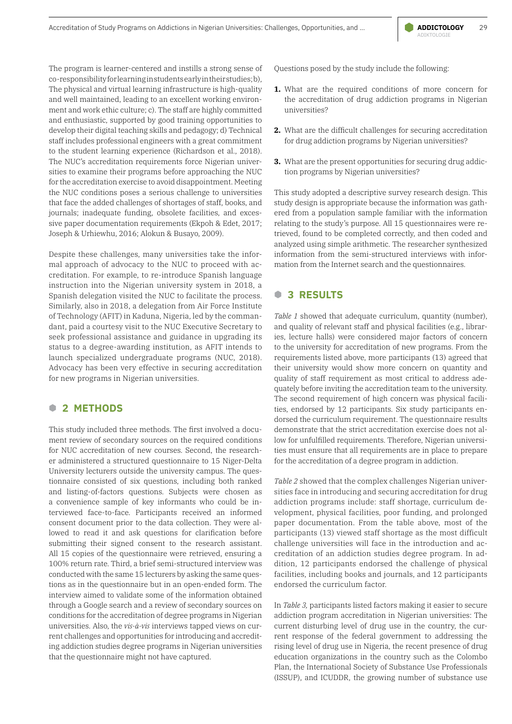The program is learner-centered and instills a strong sense of co-responsibility for learning in students early in their studies; b), The physical and virtual learning infrastructure is high-quality and well maintained, leading to an excellent working environment and work ethic culture; c). The staff are highly committed and enthusiastic, supported by good training opportunities to develop their digital teaching skills and pedagogy; d) Technical staff includes professional engineers with a great commitment to the student learning experience (Richardson et al., 2018). The NUC's accreditation requirements force Nigerian universities to examine their programs before approaching the NUC for the accreditation exercise to avoid disappointment. Meeting the NUC conditions poses a serious challenge to universities that face the added challenges of shortages of staff, books, and journals; inadequate funding, obsolete facilities, and excessive paper documentation requirements (Ekpoh & Edet, 2017; Joseph & Urhiewhu, 2016; Alokun & Busayo, 2009).

Despite these challenges, many universities take the informal approach of advocacy to the NUC to proceed with accreditation. For example, to re-introduce Spanish language instruction into the Nigerian university system in 2018, a Spanish delegation visited the NUC to facilitate the process. Similarly, also in 2018, a delegation from Air Force Institute of Technology (AFIT) in Kaduna, Nigeria, led by the commandant, paid a courtesy visit to the NUC Executive Secretary to seek professional assistance and guidance in upgrading its status to a degree-awarding institution, as AFIT intends to launch specialized undergraduate programs (NUC, 2018). Advocacy has been very effective in securing accreditation for new programs in Nigerian universities.

## **B 2 METHODS**

This study included three methods. The first involved a document review of secondary sources on the required conditions for NUC accreditation of new courses. Second, the researcher administered a structured questionnaire to 15 Niger-Delta University lecturers outside the university campus. The questionnaire consisted of six questions, including both ranked and listing-of-factors questions. Subjects were chosen as a convenience sample of key informants who could be interviewed face-to-face. Participants received an informed consent document prior to the data collection. They were allowed to read it and ask questions for clarification before submitting their signed consent to the research assistant. All 15 copies of the questionnaire were retrieved, ensuring a 100% return rate. Third, a brief semi-structured interview was conducted with the same 15 lecturers by asking the same questions as in the questionnaire but in an open-ended form. The interview aimed to validate some of the information obtained through a Google search and a review of secondary sources on conditions for the accreditation of degree programs in Nigerian universities. Also, the *vis-à-vis* interviews tapped views on current challenges and opportunities for introducing and accrediting addiction studies degree programs in Nigerian universities that the questionnaire might not have captured.

Questions posed by the study include the following:

- **1.** What are the required conditions of more concern for the accreditation of drug addiction programs in Nigerian universities?
- **2.** What are the difficult challenges for securing accreditation for drug addiction programs by Nigerian universities?
- **3.** What are the present opportunities for securing drug addiction programs by Nigerian universities?

This study adopted a descriptive survey research design. This study design is appropriate because the information was gathered from a population sample familiar with the information relating to the study's purpose. All 15 questionnaires were retrieved, found to be completed correctly, and then coded and analyzed using simple arithmetic. The researcher synthesized information from the semi-structured interviews with information from the Internet search and the questionnaires.

### **B 3 RESULTS**

*Table 1* showed that adequate curriculum, quantity (number), and quality of relevant staff and physical facilities (e.g., libraries, lecture halls) were considered major factors of concern to the university for accreditation of new programs. From the requirements listed above, more participants (13) agreed that their university would show more concern on quantity and quality of staff requirement as most critical to address adequately before inviting the accreditation team to the university. The second requirement of high concern was physical facilities, endorsed by 12 participants. Six study participants endorsed the curriculum requirement. The questionnaire results demonstrate that the strict accreditation exercise does not allow for unfulfilled requirements. Therefore, Nigerian universities must ensure that all requirements are in place to prepare for the accreditation of a degree program in addiction.

*Table 2* showed that the complex challenges Nigerian universities face in introducing and securing accreditation for drug addiction programs include: staff shortage, curriculum development, physical facilities, poor funding, and prolonged paper documentation. From the table above, most of the participants (13) viewed staff shortage as the most difficult challenge universities will face in the introduction and accreditation of an addiction studies degree program. In addition, 12 participants endorsed the challenge of physical facilities, including books and journals, and 12 participants endorsed the curriculum factor.

In *Table 3,* participants listed factors making it easier to secure addiction program accreditation in Nigerian universities: The current disturbing level of drug use in the country, the current response of the federal government to addressing the rising level of drug use in Nigeria, the recent presence of drug education organizations in the country such as the Colombo Plan, the International Society of Substance Use Professionals (ISSUP), and ICUDDR, the growing number of substance use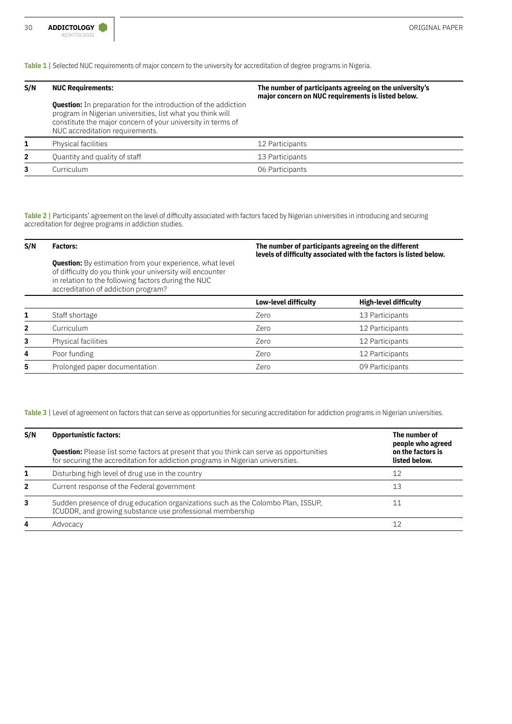**Table 1 |** Selected NUC requirements of major concern to the university for accreditation of degree programs in Nigeria.

| S/N            | <b>NUC Requirements:</b>                                                                                                                                                                                                              | The number of participants agreeing on the university's<br>major concern on NUC requirements is listed below. |  |
|----------------|---------------------------------------------------------------------------------------------------------------------------------------------------------------------------------------------------------------------------------------|---------------------------------------------------------------------------------------------------------------|--|
|                | <b>Question:</b> In preparation for the introduction of the addiction<br>program in Nigerian universities, list what you think will<br>constitute the major concern of your university in terms of<br>NUC accreditation requirements. |                                                                                                               |  |
| 1              | <b>Physical facilities</b>                                                                                                                                                                                                            | 12 Participants                                                                                               |  |
| $\overline{2}$ | Quantity and quality of staff                                                                                                                                                                                                         | 13 Participants                                                                                               |  |
| 3              | Curriculum                                                                                                                                                                                                                            | 06 Participants                                                                                               |  |

**Table 2 |** Participants' agreement on the level of difficulty associated with factors faced by Nigerian universities in introducing and securing accreditation for degree programs in addiction studies.

| S/N          | <b>Factors:</b>                                                                                                                                                                                                            | The number of participants agreeing on the different<br>levels of difficulty associated with the factors is listed below. |                              |
|--------------|----------------------------------------------------------------------------------------------------------------------------------------------------------------------------------------------------------------------------|---------------------------------------------------------------------------------------------------------------------------|------------------------------|
|              | <b>Question:</b> By estimation from your experience, what level<br>of difficulty do you think your university will encounter<br>in relation to the following factors during the NUC<br>accreditation of addiction program? |                                                                                                                           |                              |
|              |                                                                                                                                                                                                                            | Low-level difficulty                                                                                                      | <b>High-level difficulty</b> |
|              | Staff shortage                                                                                                                                                                                                             | Zero                                                                                                                      | 13 Participants              |
| $\mathbf{2}$ | Curriculum                                                                                                                                                                                                                 | Zero                                                                                                                      | 12 Participants              |
| 3            | Physical facilities                                                                                                                                                                                                        | Zero                                                                                                                      | 12 Participants              |
| 4            | Poor funding                                                                                                                                                                                                               | Zero                                                                                                                      | 12 Participants              |
|              |                                                                                                                                                                                                                            |                                                                                                                           |                              |

Table 3 | Level of agreement on factors that can serve as opportunities for securing accreditation for addiction programs in Nigerian universities.

**5** Prolonged paper documentation **1988** Zero 209 Participants

| S/N            | <b>Opportunistic factors:</b>                                                                                                                                                     | The number of<br>people who agreed |
|----------------|-----------------------------------------------------------------------------------------------------------------------------------------------------------------------------------|------------------------------------|
|                | <b>Question:</b> Please list some factors at present that you think can serve as opportunities<br>for securing the accreditation for addiction programs in Nigerian universities. | on the factors is<br>listed below. |
| 1              | Disturbing high level of drug use in the country                                                                                                                                  | 12                                 |
| $\overline{2}$ | Current response of the Federal government                                                                                                                                        | 13                                 |
| 3              | Sudden presence of drug education organizations such as the Colombo Plan, ISSUP,<br>ICUDDR, and growing substance use professional membership                                     |                                    |
| 4              | Advocacy                                                                                                                                                                          |                                    |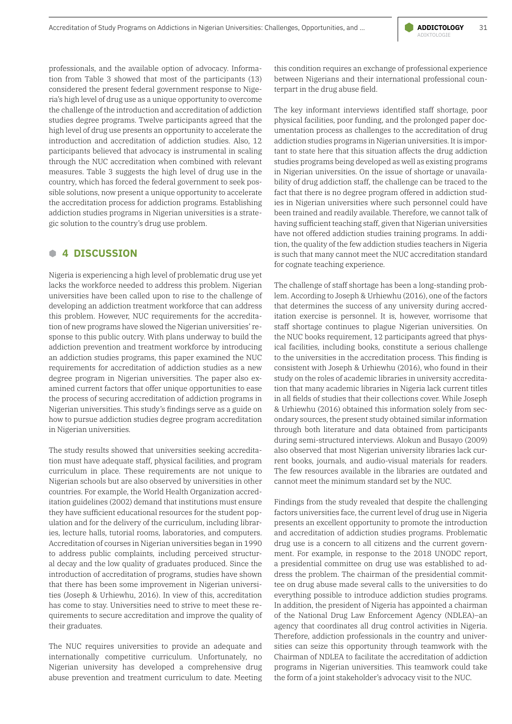professionals, and the available option of advocacy. Information from Table 3 showed that most of the participants (13) considered the present federal government response to Nigeria's high level of drug use as a unique opportunity to overcome the challenge of the introduction and accreditation of addiction studies degree programs. Twelve participants agreed that the high level of drug use presents an opportunity to accelerate the introduction and accreditation of addiction studies. Also, 12 participants believed that advocacy is instrumental in scaling through the NUC accreditation when combined with relevant measures. Table 3 suggests the high level of drug use in the country, which has forced the federal government to seek possible solutions, now present a unique opportunity to accelerate the accreditation process for addiction programs. Establishing addiction studies programs in Nigerian universities is a strategic solution to the country's drug use problem.

### **B 4 DISCUSSION**

Nigeria is experiencing a high level of problematic drug use yet lacks the workforce needed to address this problem. Nigerian universities have been called upon to rise to the challenge of developing an addiction treatment workforce that can address this problem. However, NUC requirements for the accreditation of new programs have slowed the Nigerian universities' response to this public outcry. With plans underway to build the addiction prevention and treatment workforce by introducing an addiction studies programs, this paper examined the NUC requirements for accreditation of addiction studies as a new degree program in Nigerian universities. The paper also examined current factors that offer unique opportunities to ease the process of securing accreditation of addiction programs in Nigerian universities. This study's findings serve as a guide on how to pursue addiction studies degree program accreditation in Nigerian universities.

The study results showed that universities seeking accreditation must have adequate staff, physical facilities, and program curriculum in place. These requirements are not unique to Nigerian schools but are also observed by universities in other countries. For example, the World Health Organization accreditation guidelines (2002) demand that institutions must ensure they have sufficient educational resources for the student population and for the delivery of the curriculum, including libraries, lecture halls, tutorial rooms, laboratories, and computers. Accreditation of courses in Nigerian universities began in 1990 to address public complaints, including perceived structural decay and the low quality of graduates produced. Since the introduction of accreditation of programs, studies have shown that there has been some improvement in Nigerian universities (Joseph & Urhiewhu, 2016). In view of this, accreditation has come to stay. Universities need to strive to meet these requirements to secure accreditation and improve the quality of their graduates.

The NUC requires universities to provide an adequate and internationally competitive curriculum. Unfortunately, no Nigerian university has developed a comprehensive drug abuse prevention and treatment curriculum to date. Meeting this condition requires an exchange of professional experience between Nigerians and their international professional counterpart in the drug abuse field.

The key informant interviews identified staff shortage, poor physical facilities, poor funding, and the prolonged paper documentation process as challenges to the accreditation of drug addiction studies programs in Nigerian universities. It is important to state here that this situation affects the drug addiction studies programs being developed as well as existing programs in Nigerian universities. On the issue of shortage or unavailability of drug addiction staff, the challenge can be traced to the fact that there is no degree program offered in addiction studies in Nigerian universities where such personnel could have been trained and readily available. Therefore, we cannot talk of having sufficient teaching staff, given that Nigerian universities have not offered addiction studies training programs. In addition, the quality of the few addiction studies teachers in Nigeria is such that many cannot meet the NUC accreditation standard for cognate teaching experience.

The challenge of staff shortage has been a long-standing problem. According to Joseph & Urhiewhu (2016), one of the factors that determines the success of any university during accreditation exercise is personnel. It is, however, worrisome that staff shortage continues to plague Nigerian universities. On the NUC books requirement, 12 participants agreed that physical facilities, including books, constitute a serious challenge to the universities in the accreditation process. This finding is consistent with Joseph & Urhiewhu (2016), who found in their study on the roles of academic libraries in university accreditation that many academic libraries in Nigeria lack current titles in all fields of studies that their collections cover. While Joseph & Urhiewhu (2016) obtained this information solely from secondary sources, the present study obtained similar information through both literature and data obtained from participants during semi-structured interviews. Alokun and Busayo (2009) also observed that most Nigerian university libraries lack current books, journals, and audio-visual materials for readers. The few resources available in the libraries are outdated and cannot meet the minimum standard set by the NUC.

Findings from the study revealed that despite the challenging factors universities face, the current level of drug use in Nigeria presents an excellent opportunity to promote the introduction and accreditation of addiction studies programs. Problematic drug use is a concern to all citizens and the current government. For example, in response to the 2018 UNODC report, a presidential committee on drug use was established to address the problem. The chairman of the presidential committee on drug abuse made several calls to the universities to do everything possible to introduce addiction studies programs. In addition, the president of Nigeria has appointed a chairman of the National Drug Law Enforcement Agency (NDLEA)–an agency that coordinates all drug control activities in Nigeria. Therefore, addiction professionals in the country and universities can seize this opportunity through teamwork with the Chairman of NDLEA to facilitate the accreditation of addiction programs in Nigerian universities. This teamwork could take the form of a joint stakeholder's advocacy visit to the NUC.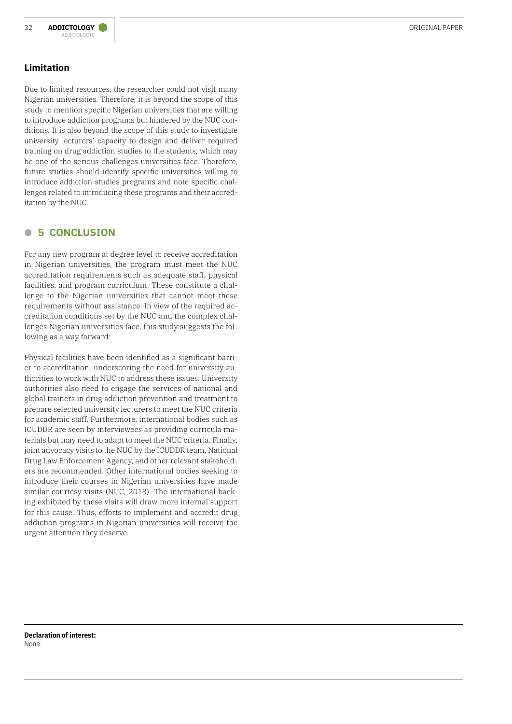# **Limitation**

Due to limited resources, the researcher could not visit many Nigerian universities. Therefore, it is beyond the scope of this study to mention specific Nigerian universities that are willing to introduce addiction programs but hindered by the NUC conditions. It is also beyond the scope of this study to investigate university lecturers' capacity to design and deliver required training on drug addiction studies to the students, which may be one of the serious challenges universities face. Therefore, future studies should identify specific universities willing to introduce addiction studies programs and note specific challenges related to introducing these programs and their accreditation by the NUC.

# **B 5 CONCLUSION**

For any new program at degree level to receive accreditation in Nigerian universities, the program must meet the NUC accreditation requirements such as adequate staff, physical facilities, and program curriculum. These constitute a challenge to the Nigerian universities that cannot meet these requirements without assistance. In view of the required accreditation conditions set by the NUC and the complex challenges Nigerian universities face, this study suggests the following as a way forward:

Physical facilities have been identified as a significant barrier to accreditation, underscoring the need for university authorities to work with NUC to address these issues. University authorities also need to engage the services of national and global trainers in drug addiction prevention and treatment to prepare selected university lecturers to meet the NUC criteria for academic staff. Furthermore, international bodies such as ICUDDR are seen by interviewees as providing curricula materials but may need to adapt to meet the NUC criteria. Finally, joint advocacy visits to the NUC by the ICUDDR team, National Drug Law Enforcement Agency, and other relevant stakeholders are recommended. Other international bodies seeking to introduce their courses in Nigerian universities have made similar courtesy visits (NUC, 2018). The international backing exhibited by these visits will draw more internal support for this cause. Thus, efforts to implement and accredit drug addiction programs in Nigerian universities will receive the urgent attention they deserve.